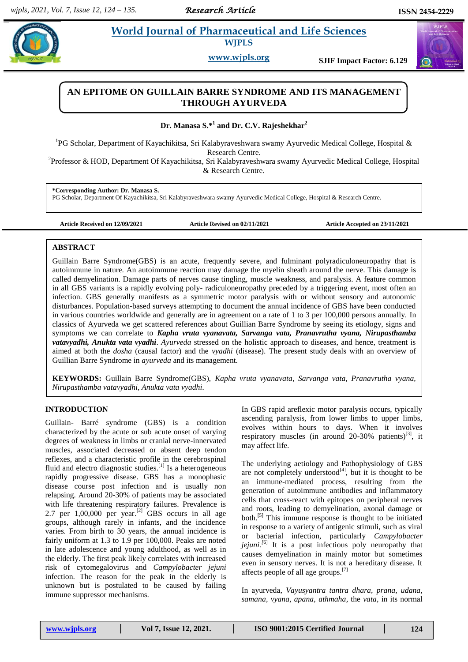# **Paramaceutical and Life Sciences WJPLS**

**www.wjpls.org SJIF Impact Factor: 6.129**

# **AN EPITOME ON GUILLAIN BARRE SYNDROME AND ITS MANAGEMENT THROUGH AYURVEDA**

**Dr. Manasa S.\*<sup>1</sup> and Dr. C.V. Rajeshekhar<sup>2</sup>**

<sup>1</sup>PG Scholar, Department of Kayachikitsa, Sri Kalabyraveshwara swamy Ayurvedic Medical College, Hospital & Research Centre.

<sup>2</sup>Professor & HOD, Department Of Kayachikitsa, Sri Kalabyraveshwara swamy Ayurvedic Medical College, Hospital & Research Centre.

**\*Corresponding Author: Dr. Manasa S.**

PG Scholar, Department Of Kayachikitsa, Sri Kalabyraveshwara swamy Ayurvedic Medical College, Hospital & Research Centre.

**Article Received on 12/09/2021 Article Revised on 02/11/2021 Article Accepted on 23/11/2021**

# **ABSTRACT**

Guillain Barre Syndrome(GBS) is an acute, frequently severe, and fulminant polyradiculoneuropathy that is autoimmune in nature. An autoimmune reaction may damage the myelin sheath around the nerve. This damage is called demyelination. Damage parts of nerves cause tingling, muscle weakness, and paralysis. A feature common in all GBS variants is a rapidly evolving poly- radiculoneuropathy preceded by a triggering event, most often an infection. GBS generally manifests as a symmetric motor paralysis with or without sensory and autonomic disturbances. Population-based surveys attempting to document the annual incidence of GBS have been conducted in various countries worldwide and generally are in agreement on a rate of 1 to 3 per 100,000 persons annually. In classics of Ayurveda we get scattered references about Guillian Barre Syndrome by seeing its etiology, signs and symptoms we can correlate to *Kapha vruta vyanavata, Sarvanga vata, Pranavrutha vyana, Nirupasthamba vatavyadhi, Anukta vata vyadhi*. *Ayurveda* stressed on the holistic approach to diseases, and hence, treatment is aimed at both the *dosha* (causal factor) and the *vyadhi* (disease). The present study deals with an overview of Guillian Barre Syndrome in *ayurveda* and its management.

**KEYWORDS:** Guillain Barre Syndrome(GBS), *Kapha vruta vyanavata, Sarvanga vata, Pranavrutha vyana, Nirupasthamba vatavyadhi, Anukta vata vyadhi.*

# **INTRODUCTION**

Guillain- Barré syndrome (GBS) is a condition characterized by the acute or sub acute onset of varying degrees of weakness in limbs or cranial nerve-innervated muscles, associated decreased or absent deep tendon reflexes, and a characteristic profile in the cerebrospinal fluid and electro diagnostic studies.<sup>[1]</sup> Is a heterogeneous rapidly progressive disease. GBS has a monophasic disease course post infection and is usually non relapsing. Around 20-30% of patients may be associated with life threatening respiratory failures. Prevalence is 2.7 per  $1,00,000$  per year.<sup>[2]</sup> GBS occurs in all age groups, although rarely in infants, and the incidence varies. From birth to 30 years, the annual incidence is fairly uniform at 1.3 to 1.9 per 100,000. Peaks are noted in late adolescence and young adulthood, as well as in the elderly. The first peak likely correlates with increased risk of cytomegalovirus and *Campylobacter jejuni* infection. The reason for the peak in the elderly is unknown but is postulated to be caused by failing immune suppressor mechanisms.

In GBS rapid areflexic motor paralysis occurs, typically ascending paralysis, from lower limbs to upper limbs, evolves within hours to days. When it involves respiratory muscles (in around  $20-30%$  patients)<sup>[3]</sup>, it may affect life.

The underlying aetiology and Pathophysiology of GBS are not completely understood $[4]$ , but it is thought to be an immune-mediated process, resulting from the generation of autoimmune antibodies and inflammatory cells that cross-react with epitopes on peripheral nerves and roots, leading to demyelination, axonal damage or both. [5] This immune response is thought to be initiated in response to a variety of antigenic stimuli, such as viral or bacterial infection, particularly *Campylobacter jejuni.*<sup>[6]</sup> It is a post infectious poly neuropathy that causes demyelination in mainly motor but sometimes even in sensory nerves. It is not a hereditary disease. It affects people of all age groups. [7]

In ayurveda, *Vayusyantra tantra dhara, prana, udana, samana, vyana, apana, athmaha,* the *vata,* in its normal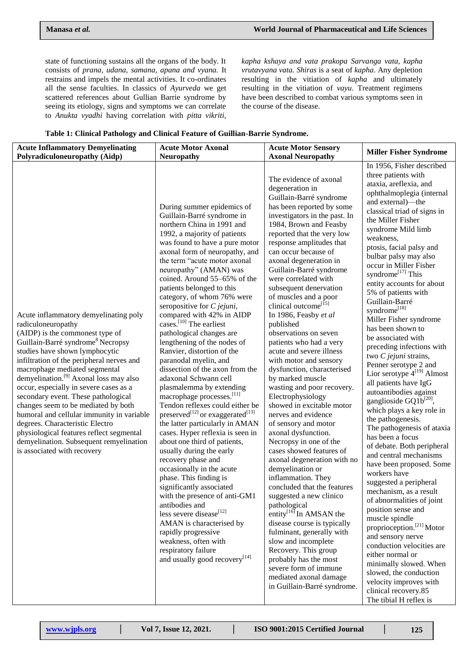state of functioning sustains all the organs of the body. It consists of *prana, udana, samana, apana and vyana.* It restrains and impels the mental activities. It co-ordinates all the sense faculties. In classics of *Ayurveda* we get scattered references about Gullian Barrie syndrome by seeing its etiology, signs and symptoms we can correlate to *Anukta vyadhi* having correlation with *pitta vikriti,* 

*kapha kshaya and vata prakopa Sarvanga vata, kapha vrutavyana vata. Shiras* is a seat of *kapha*. Any depletion resulting in the vitiation of *kapha* and ultimately resulting in the vitiation of *vayu*. Treatment regimens have been described to combat various symptoms seen in the course of the disease.

| Table 1: Clinical Pathology and Clinical Feature of Guillian-Barrie Syndrome. |  |
|-------------------------------------------------------------------------------|--|
|-------------------------------------------------------------------------------|--|

| <b>Acute Inflammatory Demyelinating</b>                                                                                                                                                                                                                                                                                                                                                                                                                                                                                                                                                                                                             | <b>Acute Motor Axonal</b>                                                                                                                                                                                                                                                                                                                                                                                                                                                                                                                                                                                                                                                                                                                                                                                                                                                                                                                                                                                                                                                                                                                                                                                                                                                      | <b>Acute Motor Sensory</b>                                                                                                                                                                                                                                                                                                                                                                                                                                                                                                                                                                                                                                                                                                                                                                                                                                                                                                                                                                                                                                                                                                                                                                                                                 | <b>Miller Fisher Syndrome</b>                                                                                                                                                                                                                                                                                                                                                                                                                                                                                                                                                                                                                                                                                                                                                                                                                                                                                                                                                                                                                                                                                                                                                                                                                                                                   |
|-----------------------------------------------------------------------------------------------------------------------------------------------------------------------------------------------------------------------------------------------------------------------------------------------------------------------------------------------------------------------------------------------------------------------------------------------------------------------------------------------------------------------------------------------------------------------------------------------------------------------------------------------------|--------------------------------------------------------------------------------------------------------------------------------------------------------------------------------------------------------------------------------------------------------------------------------------------------------------------------------------------------------------------------------------------------------------------------------------------------------------------------------------------------------------------------------------------------------------------------------------------------------------------------------------------------------------------------------------------------------------------------------------------------------------------------------------------------------------------------------------------------------------------------------------------------------------------------------------------------------------------------------------------------------------------------------------------------------------------------------------------------------------------------------------------------------------------------------------------------------------------------------------------------------------------------------|--------------------------------------------------------------------------------------------------------------------------------------------------------------------------------------------------------------------------------------------------------------------------------------------------------------------------------------------------------------------------------------------------------------------------------------------------------------------------------------------------------------------------------------------------------------------------------------------------------------------------------------------------------------------------------------------------------------------------------------------------------------------------------------------------------------------------------------------------------------------------------------------------------------------------------------------------------------------------------------------------------------------------------------------------------------------------------------------------------------------------------------------------------------------------------------------------------------------------------------------|-------------------------------------------------------------------------------------------------------------------------------------------------------------------------------------------------------------------------------------------------------------------------------------------------------------------------------------------------------------------------------------------------------------------------------------------------------------------------------------------------------------------------------------------------------------------------------------------------------------------------------------------------------------------------------------------------------------------------------------------------------------------------------------------------------------------------------------------------------------------------------------------------------------------------------------------------------------------------------------------------------------------------------------------------------------------------------------------------------------------------------------------------------------------------------------------------------------------------------------------------------------------------------------------------|
| Polyradiculoneuropathy (Aidp)                                                                                                                                                                                                                                                                                                                                                                                                                                                                                                                                                                                                                       | <b>Neuropathy</b>                                                                                                                                                                                                                                                                                                                                                                                                                                                                                                                                                                                                                                                                                                                                                                                                                                                                                                                                                                                                                                                                                                                                                                                                                                                              | <b>Axonal Neuropathy</b>                                                                                                                                                                                                                                                                                                                                                                                                                                                                                                                                                                                                                                                                                                                                                                                                                                                                                                                                                                                                                                                                                                                                                                                                                   |                                                                                                                                                                                                                                                                                                                                                                                                                                                                                                                                                                                                                                                                                                                                                                                                                                                                                                                                                                                                                                                                                                                                                                                                                                                                                                 |
| Acute inflammatory demyelinating poly<br>radiculoneuropathy<br>(AIDP) is the commonest type of<br>Guillain-Barré syndrome <sup>8</sup> Necropsy<br>studies have shown lymphocytic<br>infiltration of the peripheral nerves and<br>macrophage mediated segmental<br>demyelination. <sup>[9]</sup> Axonal loss may also<br>occur, especially in severe cases as a<br>secondary event. These pathological<br>changes seem to be mediated by both<br>humoral and cellular immunity in variable<br>degrees. Characteristic Electro<br>physiological features reflect segmental<br>demyelination. Subsequent remyelination<br>is associated with recovery | During summer epidemics of<br>Guillain-Barré syndrome in<br>northern China in 1991 and<br>1992, a majority of patients<br>was found to have a pure motor<br>axonal form of neuropathy, and<br>the term "acute motor axonal<br>neuropathy" (AMAN) was<br>coined. Around 55-65% of the<br>patients belonged to this<br>category, of whom 76% were<br>seropositive for $C$ jejuni,<br>compared with 42% in AIDP<br>cases. <sup>[10]</sup> The earliest<br>pathological changes are<br>lengthening of the nodes of<br>Ranvier, distortion of the<br>paranodal myelin, and<br>dissection of the axon from the<br>adaxonal Schwann cell<br>plasmalemma by extending<br>macrophage processes. <sup>[11]</sup><br>Tendon reflexes could either be<br>preserved <sup>[12]</sup> or exaggerated <sup>[13]</sup><br>the latter particularly in AMAN<br>cases. Hyper reflexia is seen in<br>about one third of patients,<br>usually during the early<br>recovery phase and<br>occasionally in the acute<br>phase. This finding is<br>significantly associated<br>with the presence of anti-GM1<br>antibodies and<br>less severe disease[12]<br>AMAN is characterised by<br>rapidly progressive<br>weakness, often with<br>respiratory failure<br>and usually good recovery <sup>[14]</sup> | The evidence of axonal<br>degeneration in<br>Guillain-Barré syndrome<br>has been reported by some<br>investigators in the past. In<br>1984, Brown and Feasby<br>reported that the very low<br>response amplitudes that<br>can occur because of<br>axonal degeneration in<br>Guillain-Barré syndrome<br>were correlated with<br>subsequent denervation<br>of muscles and a poor<br>clinical outcome <sup>[15]</sup><br>In 1986, Feasby et al<br>published<br>observations on seven<br>patients who had a very<br>acute and severe illness<br>with motor and sensory<br>dysfunction, characterised<br>by marked muscle<br>wasting and poor recovery.<br>Electrophysiology<br>showed in excitable motor<br>nerves and evidence<br>of sensory and motor<br>axonal dysfunction.<br>Necropsy in one of the<br>cases showed features of<br>axonal degeneration with no<br>demyelination or<br>inflammation. They<br>concluded that the features<br>suggested a new clinico<br>pathological<br>entity $^{[16]}$ In AMSAN the<br>disease course is typically<br>fulminant, generally with<br>slow and incomplete<br>Recovery. This group<br>probably has the most<br>severe form of immune<br>mediated axonal damage<br>in Guillain-Barré syndrome. | In 1956, Fisher described<br>three patients with<br>ataxia, areflexia, and<br>ophthalmoplegia (internal<br>and external)-the<br>classical triad of signs in<br>the Miller Fisher<br>syndrome Mild limb<br>weakness.<br>ptosis, facial palsy and<br>bulbar palsy may also<br>occur in Miller Fisher<br>syndrome <sup>[17]</sup> This<br>entity accounts for about<br>5% of patients with<br>Guillain-Barré<br>syndrome <sup>[18]</sup><br>Miller Fisher syndrome<br>has been shown to<br>be associated with<br>preceding infections with<br>two C jejuni strains,<br>Penner serotype 2 and<br>Lior serotype $4^{[19]}$ Almost<br>all patients have IgG<br>autoantibodies against<br>ganglioside GQ1 $b^{[20]}$ ,<br>which plays a key role in<br>the pathogenesis.<br>The pathogenesis of ataxia<br>has been a focus<br>of debate. Both peripheral<br>and central mechanisms<br>have been proposed. Some<br>workers have<br>suggested a peripheral<br>mechanism, as a result<br>of abnormalities of joint<br>position sense and<br>muscle spindle<br>proprioception. <sup>[21]</sup> Motor<br>and sensory nerve<br>conduction velocities are<br>either normal or<br>minimally slowed. When<br>slowed, the conduction<br>velocity improves with<br>clinical recovery.85<br>The tibial H reflex is |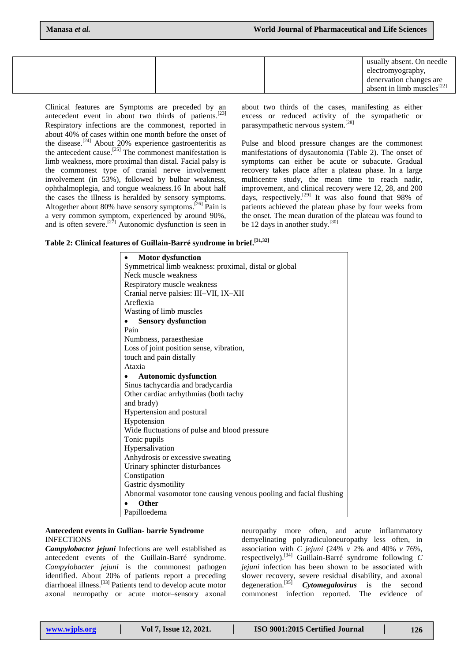|  | usually absent. On needle        |
|--|----------------------------------|
|  | electromyography,                |
|  | denervation changes are          |
|  | absent in limb muscles $^{[22]}$ |

Clinical features are Symptoms are preceded by an antecedent event in about two thirds of patients. [23] Respiratory infections are the commonest, reported in about 40% of cases within one month before the onset of the disease.<sup>[24]</sup> About 20% experience gastroenteritis as the antecedent cause. [25] The commonest manifestation is limb weakness, more proximal than distal. Facial palsy is the commonest type of cranial nerve involvement involvement (in 53%), followed by bulbar weakness, ophthalmoplegia, and tongue weakness.16 In about half the cases the illness is heralded by sensory symptoms. Altogether about 80% have sensory symptoms.<sup>[26]</sup> Pain is a very common symptom, experienced by around 90%, and is often severe.<sup>[27]</sup> Autonomic dysfunction is seen in about two thirds of the cases, manifesting as either excess or reduced activity of the sympathetic or parasympathetic nervous system. [28]

Pulse and blood pressure changes are the commonest manifestations of dysautonomia (Table 2). The onset of symptoms can either be acute or subacute. Gradual recovery takes place after a plateau phase. In a large multicentre study, the mean time to reach nadir, improvement, and clinical recovery were 12, 28, and 200 days, respectively.<sup>[29]</sup> It was also found that 98% of patients achieved the plateau phase by four weeks from the onset. The mean duration of the plateau was found to be 12 days in another study.<sup>[30]</sup>

| Table 2: Clinical features of Guillain-Barré syndrome in brief. [31,32] |  |  |  |  |  |  |  |  |
|-------------------------------------------------------------------------|--|--|--|--|--|--|--|--|
|-------------------------------------------------------------------------|--|--|--|--|--|--|--|--|

| <b>Motor dysfunction</b>                                           |
|--------------------------------------------------------------------|
| Symmetrical limb weakness: proximal, distal or global              |
| Neck muscle weakness                                               |
| Respiratory muscle weakness                                        |
| Cranial nerve palsies: III-VII, IX-XII                             |
| Areflexia                                                          |
| Wasting of limb muscles                                            |
| <b>Sensory dysfunction</b>                                         |
| Pain                                                               |
| Numbness, paraesthesiae.                                           |
| Loss of joint position sense, vibration,                           |
| touch and pain distally                                            |
| Ataxia                                                             |
| <b>Autonomic dysfunction</b>                                       |
| Sinus tachycardia and bradycardia                                  |
| Other cardiac arrhythmias (both tachy                              |
| and brady)                                                         |
| Hypertension and postural                                          |
| Hypotension                                                        |
| Wide fluctuations of pulse and blood pressure                      |
| Tonic pupils                                                       |
| Hypersalivation                                                    |
| Anhydrosis or excessive sweating                                   |
| Urinary sphincter disturbances                                     |
| Constipation                                                       |
| Gastric dysmotility                                                |
| Abnormal vasomotor tone causing venous pooling and facial flushing |
| <b>Other</b>                                                       |
| Papilloedema                                                       |

### **Antecedent events in Gullian- barrie Syndrome** INFECTIONS

*Campylobacter jejuni* Infections are well established as antecedent events of the Guillain-Barré syndrome. *Campylobacter jejuni* is the commonest pathogen identified. About 20% of patients report a preceding diarrhoeal illness. [33] Patients tend to develop acute motor axonal neuropathy or acute motor–sensory axonal

neuropathy more often, and acute inflammatory demyelinating polyradiculoneuropathy less often, in association with *C jejuni* (24% *v* 2% and 40% *v* 76%, respectively). [34] Guillain-Barré syndrome following *C jejuni* infection has been shown to be associated with slower recovery, severe residual disability, and axonal degeneration. [35] *Cytomegalovirus* is the second commonest infection reported. The evidence of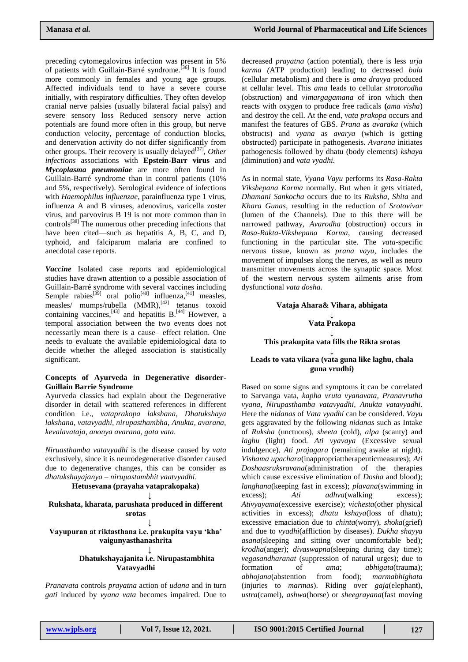preceding cytomegalovirus infection was present in 5% of patients with Guillain-Barré syndrome.<sup>[36]</sup> It is found more commonly in females and young age groups. Affected individuals tend to have a severe course initially, with respiratory difficulties. They often develop cranial nerve palsies (usually bilateral facial palsy) and severe sensory loss Reduced sensory nerve action potentials are found more often in this group, but nerve conduction velocity, percentage of conduction blocks, and denervation activity do not differ significantly from other groups. Their recovery is usually delayed<sup>[37]</sup>, Other *infections* associations with **Epstein-Barr virus** and *Mycoplasma pneumoniae* are more often found in Guillain-Barré syndrome than in control patients (10% and 5%, respectively). Serological evidence of infections with *Haemophilus influenzae*, parainfluenza type 1 virus, influenza A and B viruses, adenovirus, varicella zoster virus, and parvovirus B 19 is not more common than in controls<sup>[38]</sup> The numerous other preceding infections that have been cited—such as hepatitis A, B, C, and D, typhoid, and falciparum malaria are confined to anecdotal case reports.

*Vaccine* Isolated case reports and epidemiological studies have drawn attention to a possible association of Guillain-Barré syndrome with several vaccines including Semple rabies<sup>[39]</sup> oral polio<sup>[40]</sup> influenza,<sup>[41]</sup> measles, measles/ mumps/rubella (MMR),<sup>[42]</sup> tetanus toxoid containing vaccines,  $^{[43]}$  and hepatitis B.  $^{[44]}$  However, a temporal association between the two events does not necessarily mean there is a cause– effect relation. One needs to evaluate the available epidemiological data to decide whether the alleged association is statistically significant.

# **Concepts of Ayurveda in Degenerative disorder-Guillain Barrie Syndrome**

Ayurveda classics had explain about the Degenerative disorder in detail with scattered references in different condition i.e., *vataprakopa lakshana, Dhatukshaya lakshana, vatavyadhi, nirupasthambha, Anukta, avarana, kevalavataja, anonya avarana, gata vata.*

*Niruasthamba vatavyadhi* is the disease caused by *vata*  exclusively, since it is neurodegenerative disorder caused due to degenerative changes, this can be consider as *dhatukshayajanya* – *nirupastambhit vaatvyadhi*.

**Hetusevana (prayaha vataprakopaka)**

#### **↓ Rukshata, kharata, parushata produced in different srotas**

**↓**

# **Vayupuran at riktasthana i.e. prakupita vayu 'kha' vaigunyasthanashrita**

#### **↓ Dhatukshayajanita i.e. Nirupastambhita Vatavyadhi**

*Pranavata* controls *prayatna* action of *udana* and in turn *gati* induced by *vyana vata* becomes impaired. Due to

decreased *prayatna* (action potential), there is less *urja karma (*ATP production) leading to decreased *bala*  (cellular metabolism) and there is *ama dravya* produced at cellular level. This *ama* leads to cellular *strotorodha*  (obstruction) and *vimargagamana* of iron which then reacts with oxygen to produce free radicals **(***ama visha*) and destroy the cell. At the end, *vata prakopa* occurs and manifest the features of GBS. *Prana* as *avaraka* (which obstructs) and *vyana* as *avarya* (which is getting obstructed) participate in pathogenesis. *Avarana* initiates pathogenesis followed by dhatu (body elements) *kshaya*  (diminution) and *vata vyadhi.*

As in normal state, *Vyana Vayu* performs its *Rasa-Rakta Vikshepana Karma* normally. But when it gets vitiated, *Dhamani Sankocha* occurs due to its *Ruksha, Shita* and *Khara Gunas,* resulting in the reduction of *Srotovivar*  (lumen of the Channels). Due to this there will be narrowed pathway, *Avarodha* (obstruction) occurs in *Rasa-Rakta-Vikshepana Karma*, causing decreased functioning in the particular site. The *vata*-specific nervous tissue, known as *prana vayu*, includes the movement of impulses along the nerves, as well as neuro transmitter movements across the synaptic space. Most of the western nervous system ailments arise from dysfunctional *vata dosha.* 

### **Vataja Ahara& Vihara, abhigata ↓ Vata Prakopa ↓ This prakupita vata fills the Rikta srotas ↓ Leads to vata vikara (vata guna like laghu, chala guna vrudhi)**

Based on some signs and symptoms it can be correlated to Sarvanga vata, *kapha vruta vyanavata, Pranavrutha vyana, Nirupasthamba vatavyadhi*, *Anukta vatavyadhi.* Here the *nidanas* of *Vata vyadhi* can be considered. *Vayu*  gets aggravated by the following *nidanas* such as Intake of *Ruksha* (unctuous), *sheeta* (cold), *alpa* (scanty) and *laghu* (light) food. *Ati vyavaya* (Excessive sexual indulgence), *Ati prajagara* (remaining awake at night). *Vishama upachara*(inappropriattherapeuticmeasures); *Ati Doshaasruksravana*(administration of the therapies which cause excessive elimination of *Dosha* and blood); *langhana*(keeping fast in excess); *plavana*(swimming in excess); *Ati adhva*(walking excess); *Ativyayama*(excessive exercise); *vichesta*(other physical activities in excess); *dhatu kshaya*(loss of dhatu); excessive emaciation due to *chinta*(worry), *shoka*(grief) and due to *vyadhi*(affliction by diseases). *Dukha shayya asana*(sleeping and sitting over uncomfortable bed); *krodha*(anger); *divaswapna*(sleeping during day time); *vegasandharanat* (suppression of natural urges); due to formation of *ama*; *abhigata*(trauma); *abhojana*(abstention from food); *marmabhighata*  (injuries to *marmas*). Riding over *gaja*(elephant), *ustra*(camel), *ashwa*(horse) or *sheegrayana*(fast moving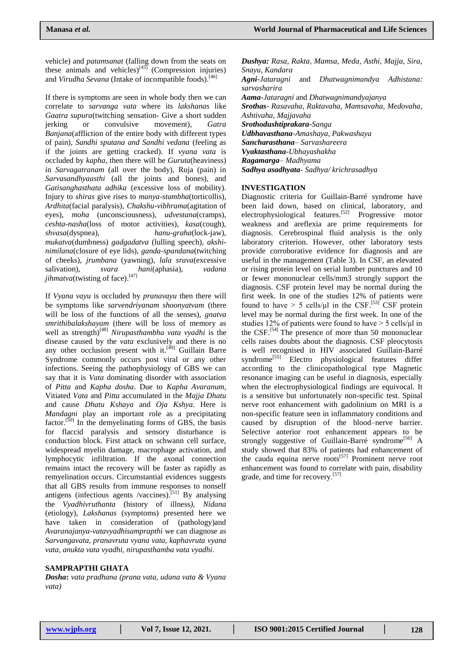vehicle) and *patamsanat* (falling down from the seats on these animals and vehicles)<sup>[45]</sup> (Compression injuries) and *Virudha Sevana* (Intake of incompatible foods). [46]

If there is symptoms are seen in whole body then we can correlate to *sarvanga vata* where its *lakshanas* like *Gaatra supura*(twitching sensation- Give a short sudden jerking or convulsive movement)*, Gatra Banjana*(affliction of the entire body with different types of pain), *Sandhi sputana and Sandhi vedana* (feeling as if the joints are getting cracked). If *vyana vata* is occluded by *kapha*, then there will be *Guruta*(heaviness) in *Sarvagatranam* (all over the body), Ruja (pain) in *Sarvasandhyaasthi* (all the joints and bones), and *Gatisanghasthata adhika* (excessive loss of mobility). Injury to *shiras* give rises to *manya-stambha*(torticollis), *Ardhita*(facial paralysis), *Chakshu-vibhrama*(agitation of eyes), *moha* (unconsciousness), *udvestana*(cramps), *ceshta-nasha*(loss of motor activities), *kasa*(cough), *shvasa*(dyspnea), *hanu-graha*(lock-jaw), *mukatva*(dumbness) *gadgadatva* (lulling speech), *akshinimilana*(closure of eye lids), *ganda-spandana*(twitching of cheeks), *jrumbana* (yawning), *lala srava*(excessive salivation), *svara hani*(aphasia), *vadana jihmatva*(twisting of face).<sup>[47]</sup>

If *Vyana vayu* is occluded by *pranavayu* then there will be symptoms like *sarvendriyanam shoonyatvam* (there will be loss of the functions of all the senses), *gnatva smrithibalakshayam* (there will be loss of memory as well as strength)[48] *Nirupasthambha vata vyadhi* is the disease caused by the *vata* exclusively and there is no any other occlusion present with it.<sup>[49]</sup> Guillain Barre Syndrome commonly occurs post viral or any other infections. Seeing the pathophysiology of GBS we can say that it is *Vata* dominating disorder with association of *Pitta* and *Kapha dosha*. Due to *Kapha Avaranum,*  Vitiated *Vata* and *Pitta* accumulated in the *Majja Dhatu*  and cause *Dhatu Kshaya* and *Oja Kshya*. Here is *Mandagni* play an important role as a precipitating factor.<sup>[50]</sup> In the demyelinating forms of GBS, the basis for flaccid paralysis and sensory disturbance is conduction block. First attack on schwann cell surface, widespread myelin damage, macrophage activation, and lymphocytic infiltration. If the axonal connection remains intact the recovery will be faster as rapidly as remyelination occurs. Circumstantial evidences suggests that all GBS results from immune responses to nonself antigens (infectious agents /vaccines).<sup>[51]</sup> By analysing the *Vyadhivruthanta* (history of illness*), Nidana*  (etiology), *Lakshanas* (symptoms) presented here we have taken in consideration of (pathology)and *Avaranajanya-vatavyadhisamprapthi* we can diagnose as *Sarvangavata, pranavruta vyana vata, kaphavruta vyana vata, anukta vata vyadhi, nirupasthamba vata vyadhi.* 

### **SAMPRAPTHI GHATA**

*Dosha***:** *vata pradhana (prana vata, udana vata & Vyana vata)*

*Dushya: Rasa, Rakta, Mamsa, Meda, Asthi, Majja, Sira, Snayu, Kandara Agni-Jataragni* and *Dhatwagnimandya Adhistana: sarvasharira Aama-Jataragni* and *Dhatwagnimandyajanya Srothas- Rasavaha, Raktavaha, Mamsavaha, Medovaha, Ashtivaha, Majjavaha Srothodushtiprakara-Sanga Udbhavasthana-Amashaya, Pakwashaya Sancharasthana– Sarvashareera Vyaktasthana-Ubhayashakha Ragamarga– Madhyama Sadhya asadhyata- Sadhya/ krichrasadhya*

### **INVESTIGATION**

Diagnostic criteria for Guillain-Barré syndrome have been laid down, based on clinical, laboratory, and electrophysiological features.<sup>[52]</sup> Progressive motor weakness and areflexia are prime requirements for diagnosis. Cerebrospinal fluid analysis is the only laboratory criterion. However, other laboratory tests provide corroborative evidence for diagnosis and are useful in the management (Table 3). In CSF, an elevated or rising protein level on serial lumber punctures and 10 or fewer mononuclear cells/mm3 strongly support the diagnosis. CSF protein level may be normal during the first week. In one of the studies 12% of patients were found to have  $> 5$  cells/ $\mu$ l in the CSF.<sup>[53]</sup> CSF protein level may be normal during the first week. In one of the studies 12% of patients were found to have > 5 cells/µl in the CSF. [54] The presence of more than 50 mononuclear cells raises doubts about the diagnosis. CSF pleocytosis is well recognised in HIV associated Guillain-Barré syndrome<sup>[55]</sup> Electro physiological features differ according to the clinicopathological type Magnetic resonance imaging can be useful in diagnosis, especially when the electrophysiological findings are equivocal. It is a sensitive but unfortunately non-specific test. Spinal nerve root enhancement with gadolinium on MRI is a non-specific feature seen in inflammatory conditions and caused by disruption of the blood–nerve barrier. Selective anterior root enhancement appears to be strongly suggestive of Guillain-Barré syndrome<sup>[56]</sup> A study showed that 83% of patients had enhancement of the cauda equina nerve roots<sup>[57]</sup> Prominent nerve root enhancement was found to correlate with pain, disability grade, and time for recovery.[57]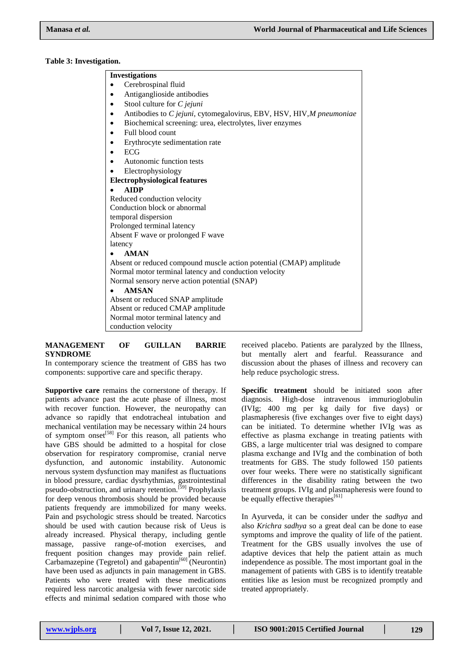### **Table 3: Investigation.**

| <b>Investigations</b> |                                                                      |
|-----------------------|----------------------------------------------------------------------|
|                       | Cerebrospinal fluid                                                  |
|                       | Antiganglioside antibodies                                           |
| ٠                     | Stool culture for C jejuni                                           |
| ٠                     | Antibodies to C jejuni, cytomegalovirus, EBV, HSV, HIV, M pneumoniae |
|                       | Biochemical screening: urea, electrolytes, liver enzymes             |
|                       | Full blood count                                                     |
|                       | Erythrocyte sedimentation rate                                       |
| ECG                   |                                                                      |
|                       | Autonomic function tests                                             |
|                       | Electrophysiology                                                    |
|                       | <b>Electrophysiological features</b>                                 |
| <b>AIDP</b>           |                                                                      |
|                       | Reduced conduction velocity                                          |
|                       | Conduction block or abnormal                                         |
|                       | temporal dispersion                                                  |
|                       | Prolonged terminal latency                                           |
|                       | Absent F wave or prolonged F wave                                    |
| latency               |                                                                      |
| <b>AMAN</b>           |                                                                      |
|                       | Absent or reduced compound muscle action potential (CMAP) amplitude  |
|                       | Normal motor terminal latency and conduction velocity                |
|                       | Normal sensory nerve action potential (SNAP)                         |
| <b>AMSAN</b>          |                                                                      |
|                       | Absent or reduced SNAP amplitude                                     |
|                       | Absent or reduced CMAP amplitude                                     |
|                       | Normal motor terminal latency and                                    |
|                       | conduction velocity                                                  |

# **MANAGEMENT OF GUILLAN BARRIE SYNDROME**

In contemporary science the treatment of GBS has two components: supportive care and specific therapy.

**Supportive care** remains the cornerstone of therapy. If patients advance past the acute phase of illness, most with recover function. However, the neuropathy can advance so rapidly that endotracheal intubation and mechanical ventilation may be necessary within 24 hours of symptom onset<sup>[58]</sup> For this reason, all patients who have GBS should be admitted to a hospital for close observation for respiratory compromise, cranial nerve dysfunction, and autonomic instability. Autonomic nervous system dysfunction may manifest as fluctuations in blood pressure, cardiac dysrhythmias, gastrointestinal pseudo-obstruction, and urinary retention.<sup>[59]</sup> Prophylaxis for deep venous thrombosis should be provided because patients frequendy are immobilized for many weeks. Pain and psychologic stress should be treated. Narcotics should be used with caution because risk of Ueus is already increased. Physical therapy, including gentle massage, passive range-of-motion exercises, and frequent position changes may provide pain relief. Carbamazepine (Tegretol) and gabapentin $^{[60]}$  (Neurontin) have been used as adjuncts in pain management in GBS. Patients who were treated with these medications required less narcotic analgesia with fewer narcotic side effects and minimal sedation compared with those who

received placebo. Patients are paralyzed by the Illness, but mentally alert and fearful. Reassurance and discussion about the phases of illness and recovery can help reduce psychologic stress.

**Specific treatment** should be initiated soon after diagnosis. High-dose intravenous immurioglobulin (IVIg; 400 mg per kg daily for five days) or plasmapheresis (five exchanges over five to eight days) can be initiated. To determine whether IVIg was as effective as plasma exchange in treating patients with GBS, a large multicenter trial was designed to compare plasma exchange and IVIg and the combination of both treatments for GBS. The study followed 150 patients over four weeks. There were no statistically significant differences in the disability rating between the two treatment groups. IVIg and plasmapheresis were found to be equally effective therapies<sup>[61]</sup>

In Ayurveda, it can be consider under the *sadhya* and also *Krichra sadhya* so a great deal can be done to ease symptoms and improve the quality of life of the patient. Treatment for the GBS usually involves the use of adaptive devices that help the patient attain as much independence as possible. The most important goal in the management of patients with GBS is to identify treatable entities like as lesion must be recognized promptly and treated appropriately.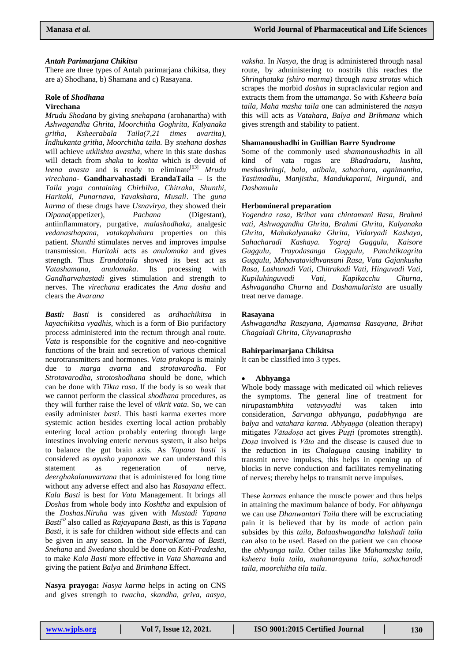### *Antah Parimarjana Chikitsa*

There are three types of Antah parimarjana chikitsa, they are a) Shodhana, b) Shamana and c) Rasayana.

# **Role of** *Shodhana*

### **Virechana**

*Mrudu Shodana* by giving *snehapana* (arohanartha) with *Ashwagandha Ghrita, Moorchitha Goghrita, Kalyanaka gritha, Ksheerabala Taila(7,21 times avartita), Indhukanta gritha, Moorchitha taila.* By *snehana doshas* will achieve *utklishta avastha*, where in this state doshas will detach from *shaka* to *koshta* which is devoid of *leena avasta* and is ready to eliminate<sup>[63]</sup> *Mrudu virechana-* **Gandharvahastadi ErandaTaila –** Is the *Taila yoga containing Chirbilva, Chitraka, Shunthi, Haritaki, Punarnava, Yavakshara, Musali*. The *guna karma* of these drugs have *Usnavirya*, they showed their *Dipana*(appetizer), *Pachana* (Digestant), antiinflammatory, purgative, *malashodhaka,* analgesic *vedanasthapana, vatakaphahara* properties on this patient. *Shunthi* stimulates nerves and improves impulse transmission. *Haritaki* acts as *anulomaka* and gives strength. Thus *Erandataila* showed its best act as *Vatashamana*, *anulomaka*. Its processing with *Gandharvahastadi* gives stimulation and strength to nerves. The *virechana* eradicates the *Ama dosha* and clears the *Avarana*

*Basti: Basti* is considered as *ardhachikitsa* in *kayachikitsa vyadhis*, which is a form of Bio purifactory process administered into the rectum through anal route. *Vata* is responsible for the cognitive and neo-cognitive functions of the brain and secretion of various chemical neurotransmitters and hormones. *Vata prakopa* is mainly due to *marga avarna* and *strotavarodha*. For *Strotavarodha*, *strotoshodhana* should be done, which can be done with *Tikta rasa*. If the body is so weak that we cannot perform the classical *shodhana* procedures, as they will further raise the level of *vikrit vata*. So, we can easily administer *basti*. This basti karma exertes more systemic action besides exerting local action probably entering local action probably entering through large intestines involving enteric nervous system, it also helps to balance the gut brain axis. As *Yapana basti* is considered as *ayusho yapanam* we can understand this statement as regeneration of nerve, *deerghakalanuvartana* that is administered for long time without any adverse effect and also has *Rasayana* effect. *Kala Basti* is best for *Vata* Management. It brings all *Doshas* from whole body into *Koshtha* and expulsion of the *Doshas*.*Niruha* was given with *Mustadi Yapana Basti*<sup>62</sup>also called as *Rajayapana Basti*, as this is *Yapana Basti*, it is safe for children without side effects and can be given in any season. In the *PoorvaKarma* of *Basti, Snehana* and *Swedana* should be done on *Kati-Pradesha,*  to make *Kala Basti* more effective in *Vata Shamana* and giving the patient *Balya* and *Brimhana* Effect.

**Nasya prayoga:** *Nasya karma* helps in acting on CNS and gives strength to *twacha, skandha, griva, aasya,* 

*vaksha.* In *Nasya,* the drug is administered through nasal route, by administering to nostrils this reaches the *Shringhataka (shiro marma)* through *nasa strotas* which scrapes the morbid *doshas* in supraclavicular region and extracts them from the *uttamanga*. So with *Ksheera bala taila, Maha masha taila* one can administered the *nasya* this will acts as *Vatahara, Balya and Brihmana* which gives strength and stability to patient.

# **Shamanoushadhi in Guillian Barre Syndrome**

Some of the commonly used *shamanoushadhis* in all kind of vata rogas are *Bhadradaru, kushta, meshashringi, bala, atibala, sahachara, agnimantha, Yastimadhu, Manjistha, Mandukaparni, Nirgundi,* and *Dashamula*

### **Herbomineral preparation**

*Yogendra rasa, Brihat vata chintamani Rasa, Brahmi vati, Ashwagandha Ghrita, Brahmi Ghrita, Kalyanaka Ghrita, Mahakalyanaka Ghrita, Vidaryadi Kashaya, Sahacharadi Kashaya. Yograj Guggulu, Kaisore Guggulu, Trayodasanga Guggulu, Panchtiktagrita Guggulu, Mahavatavidhvansani Rasa, Vata Gajankusha Rasa, Lashunadi Vati, Chitrakadi Vati, Hinguvadi Vati, Kupiluhinguvadi Vati, Kapikacchu Churna, Ashvagandha Churna* and *Dashamularista* are usually treat nerve damage.

### **Rasayana**

*Ashwagandha Rasayana, Ajamamsa Rasayana, Brihat Chagaladi Ghrita, Chyvanaprasha* 

# **Bahirparimarjana Chikitsa**

It can be classified into 3 types.

# **Abhyanga**

Whole body massage with medicated oil which relieves the symptoms. The general line of treatment for *nirupastambhita vatavyadhi* was taken into consideration, *Sarvanga abhyanga, padabhynga* are *balya* and *vatahara karma*. *Abhyaṇga* (oleation therapy) mitigates *Vātadoṣa* act gives *Puṣṭi* (promotes strength). *Doṣa* involved is *Vāta* and the disease is caused due to the reduction in its *Chalaguṇa* causing inability to transmit nerve impulses, this helps in opening up of blocks in nerve conduction and facilitates remyelinating of nerves; thereby helps to transmit nerve impulses.

These *karmas* enhance the muscle power and thus helps in attaining the maximum balance of body. For *abhyanga* we can use *Dhanwantari Taila* there will be excruciating pain it is believed that by its mode of action pain subsides by this *taila*, *Balaashwagandha lakshadi taila* can also to be used. Based on the patient we can choose the *abhyanga taila*. Other tailas like *Mahamasha taila, ksheera bala taila, mahanarayana taila, sahacharadi taila, moorchitha tila taila*.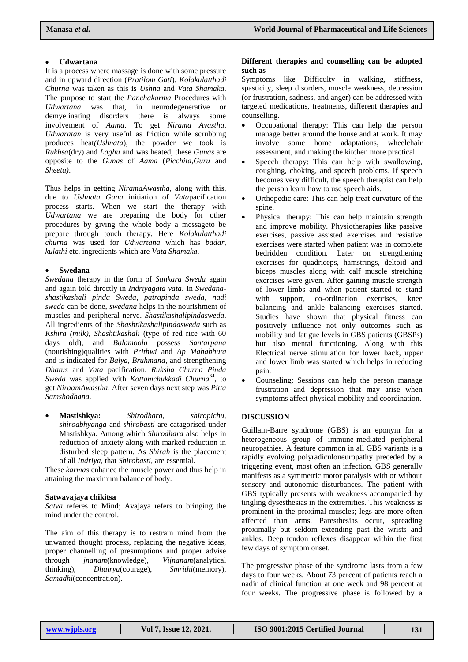### **Udwartana**

It is a process where massage is done with some pressure and in upward direction (*Pratilom Gati*). *Kolakulatthadi Churna* was taken as this is *Ushna* and *Vata Shamaka*. The purpose to start the *Panchakarma* Procedures with *Udwartana* was that, in neurodegenerative or demyelinating disorders there is always some involvement of *Aama*. To get *Nirama Avastha, Udwaratan* is very useful as friction while scrubbing produces heat*(Ushnata*), the powder we took is *Rukhsa*(dry) and *Laghu* and was heated, these *Gunas* are opposite to the *Gunas* of *Aama* (*Picchila*,*Guru* and *Sheeta)*.

Thus helps in getting *NiramaAwastha*, along with this, due to *Ushnata Guna* initiation of *Vata*pacification process starts. When we start the therapy with *Udwartana* we are preparing the body for other procedures by giving the whole body a messageto be prepare through touch therapy. Here *Kolakulatthadi churna* was used for *Udwartana* which has *badar, kulathi* etc. ingredients which are *Vata Shamaka.*

### **Swedana**

*Swedana* therapy in the form of *Sankara Sweda* again and again told directly in *Indriyagata vata*. In *Swedanashastikashali pinda Sweda*, *patrapinda sweda*, *nadi sweda* can be done, *swedana* helps in the nourishment of muscles and peripheral nerve. *Shastikashalipindasweda*. All ingredients of the *Shashtikashalipindasweda* such as *Kshira (milk), Shashtikashali* (type of red rice with 60 days old), and *Balamoola* possess *Santarpana* (nourishing)qualities with *Prithwi* and *Ap Mahabhuta*  and is indicated for *Balya, Bruhmana*, and strengthening *Dhatus* and *Vata* pacification. *Ruksha Churna Pinda*  Sweda was applied with *Kottamchukkadi Churna*<sup>64</sup>, to get *NiraamAwastha*. After seven days next step was *Pitta Samshodhana*.

 **Mastishkya:** *Shirodhara*, *shiropichu*, *shiroabhyanga* and *shirobasti* are catagorised under Mastishkya. Among which *Shirodhara* also helps in reduction of anxiety along with marked reduction in disturbed sleep pattern. As *Shirah* is the placement of all *Indriya*, that *Shirobasti*, are essential.

These *karmas* enhance the muscle power and thus help in attaining the maximum balance of body.

### **Satwavajaya chikitsa**

*Satva* referes to Mind; Avajaya refers to bringing the mind under the control.

The aim of this therapy is to restrain mind from the unwanted thought process, replacing the negative ideas, proper channelling of presumptions and proper advise through *jnanam*(knowledge), *Vijnanam*(analytical thinking), *Dhairya*(courage), *Smrithi*(memory), *Samadhi*(concentration).

# **Different therapies and counselling can be adopted such as–**

Symptoms like Difficulty in walking, stiffness, spasticity, sleep disorders, muscle weakness, depression (or frustration, sadness, and anger) can be addressed with targeted medications, treatments, different therapies and counselling.

- Occupational therapy: This can help the person manage better around the house and at work. It may involve some home adaptations, wheelchair assessment, and making the kitchen more practical.
- Speech therapy: This can help with swallowing, coughing, choking, and speech problems. If speech becomes very difficult, the speech therapist can help the person learn how to use speech aids.
- Orthopedic care: This can help treat curvature of the spine.
- Physical therapy: This can help maintain strength and improve mobility. Physiotherapies like passive exercises, passive assisted exercises and resistive exercises were started when patient was in complete bedridden condition. Later on strengthening exercises for quadriceps, hamstrings, deltoid and biceps muscles along with calf muscle stretching exercises were given. After gaining muscle strength of lower limbs and when patient started to stand with support, co-ordination exercises, knee balancing and ankle balancing exercises started. Studies have shown that physical fitness can positively influence not only outcomes such as mobility and fatigue levels in GBS patients (GBSPs) but also mental functioning. Along with this Electrical nerve stimulation for lower back, upper and lower limb was started which helps in reducing pain.
- Counseling: Sessions can help the person manage frustration and depression that may arise when symptoms affect physical mobility and coordination.

### **DISCUSSION**

Guillain-Barre syndrome (GBS) is an eponym for a heterogeneous group of immune-mediated peripheral neuropathies. A feature common in all GBS variants is a rapidly evolving polyradiculoneuropathy preceded by a triggering event, most often an infection. GBS generally manifests as a symmetric motor paralysis with or without sensory and autonomic disturbances. The patient with GBS typically presents with weakness accompanied by tingling dysesthesias in the extremities. This weakness is prominent in the proximal muscles; legs are more often affected than arms. Paresthesias occur, spreading proximally but seldom extending past the wrists and ankles. Deep tendon reflexes disappear within the first few days of symptom onset.

The progressive phase of the syndrome lasts from a few days to four weeks. About 73 percent of patients reach a nadir of clinical function at one week and 98 percent at four weeks. The progressive phase is followed by a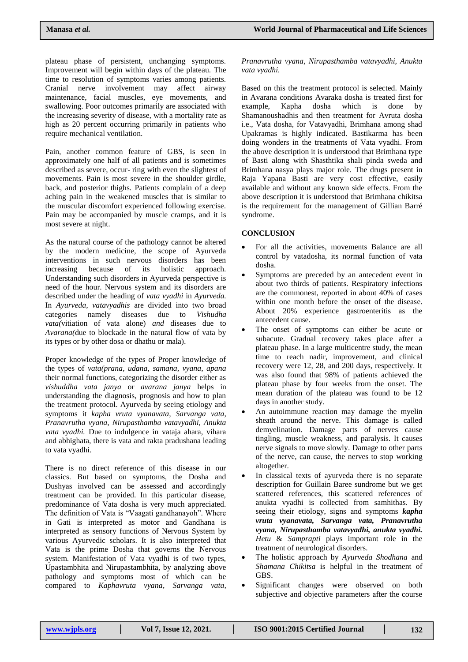plateau phase of persistent, unchanging symptoms. Improvement will begin within days of the plateau. The time to resolution of symptoms varies among patients. Cranial nerve involvement may affect airway maintenance, facial muscles, eye movements, and swallowing. Poor outcomes primarily are associated with the increasing severity of disease, with a mortality rate as high as 20 percent occurring primarily in patients who require mechanical ventilation.

Pain, another common feature of GBS, is seen in approximately one half of all patients and is sometimes described as severe, occur- ring with even the slightest of movements. Pain is most severe in the shoulder girdle, back, and posterior thighs. Patients complain of a deep aching pain in the weakened muscles that is similar to the muscular discomfort experienced following exercise. Pain may be accompanied by muscle cramps, and it is most severe at night.

As the natural course of the pathology cannot be altered by the modern medicine, the scope of Ayurveda interventions in such nervous disorders has been increasing because of its holistic approach. Understanding such disorders in Ayurveda perspective is need of the hour. Nervous system and its disorders are described under the heading of *vata vyadhi* in *Ayurveda.*  In *Ayurveda, vatavyadhis* are divided into two broad categories namely diseases due to *Vishudha vata(*vitiation of vata alone) *and* diseases due to *Avarana(*due to blockade in the natural flow of vata by its types or by other dosa or dhathu or mala)*.*

Proper knowledge of the types of Proper knowledge of the types of *vata(prana, udana, samana, vyana, apana*  their normal functions, categorizing the disorder either as *vishuddha vata janya* or *avarana janya* helps in understanding the diagnosis, prognosis and how to plan the treatment protocol. Ayurveda by seeing etiology and symptoms it *kapha vruta vyanavata, Sarvanga vata, Pranavrutha vyana, Nirupasthamba vatavyadhi, Anukta vata vyadhi.* Due to indulgence in vataja ahara, vihara and abhighata, there is vata and rakta pradushana leading to vata vyadhi.

There is no direct reference of this disease in our classics. But based on symptoms, the Dosha and Dushyas involved can be assessed and accordingly treatment can be provided. In this particular disease, predominance of Vata dosha is very much appreciated. The definition of Vata is "Vaagati gandhanayoh". Where in Gati is interpreted as motor and Gandhana is interpreted as sensory functions of Nervous System by various Ayurvedic scholars. It is also interpreted that Vata is the prime Dosha that governs the Nervous system. Manifestation of Vata vyadhi is of two types, Upastambhita and Nirupastambhita, by analyzing above pathology and symptoms most of which can be compared to *Kaphavruta vyana*, *Sarvanga vata,* 

*Pranavrutha vyana, Nirupasthamba vatavyadhi, Anukta vata vyadhi.*

Based on this the treatment protocol is selected. Mainly in Avarana conditions Avaraka dosha is treated first for example, Kapha dosha which is done by Shamanoushadhis and then treatment for Avruta dosha i.e., Vata dosha, for Vatavyadhi, Brimhana among shad Upakramas is highly indicated. Bastikarma has been doing wonders in the treatments of Vata vyadhi. From the above description it is understood that Brimhana type of Basti along with Shasthtika shali pinda sweda and Brimhana nasya plays major role. The drugs present in Raja Yapana Basti are very cost effective, easily available and without any known side effects. From the above description it is understood that Brimhana chikitsa is the requirement for the management of Gillian Barré syndrome.

# **CONCLUSION**

- For all the activities, movements Balance are all control by vatadosha, its normal function of vata dosha.
- Symptoms are preceded by an antecedent event in about two thirds of patients. Respiratory infections are the commonest, reported in about 40% of cases within one month before the onset of the disease. About 20% experience gastroenteritis as the antecedent cause.
- The onset of symptoms can either be acute or subacute. Gradual recovery takes place after a plateau phase. In a large multicentre study, the mean time to reach nadir, improvement, and clinical recovery were 12, 28, and 200 days, respectively. It was also found that 98% of patients achieved the plateau phase by four weeks from the onset. The mean duration of the plateau was found to be 12 days in another study.
- An autoimmune reaction may damage the myelin sheath around the nerve. This damage is called demyelination. Damage parts of nerves cause tingling, muscle weakness, and paralysis. It causes nerve signals to move slowly. Damage to other parts of the nerve, can cause, the nerves to stop working altogether.
- In classical texts of ayurveda there is no separate description for Guillain Baree sundrome but we get scattered references, this scattered references of anukta vyadhi is collected from samhithas. By seeing their etiology, signs and symptoms *kapha vruta vyanavata, Sarvanga vata, Pranavrutha vyana, Nirupasthamba vatavyadhi, anukta vyadhi. Hetu* & *Samprapti* plays important role in the treatment of neurological disorders.
- The holistic approach by *Ayurveda Shodhana* and *Shamana Chikitsa* is helpful in the treatment of GBS.
- Significant changes were observed on both subjective and objective parameters after the course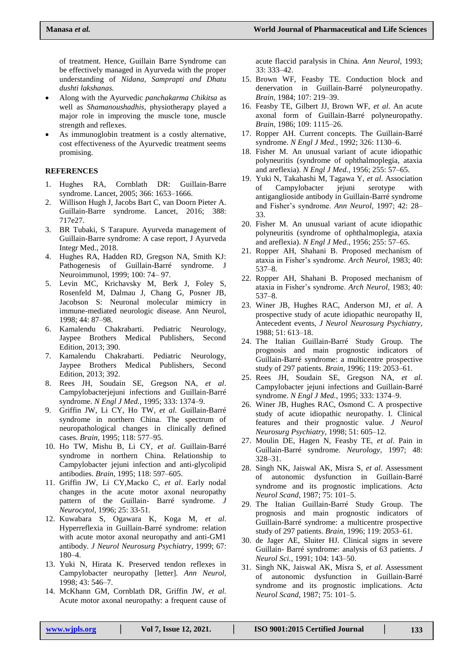of treatment. Hence, Guillain Barre Syndrome can be effectively managed in Ayurveda with the proper understanding of *Nidana, Samprapti and Dhatu dushti lakshanas.*

- Along with the Ayurvedic *panchakarma Chikitsa* as well as *Shamanoushadhis*, physiotherapy played a major role in improving the muscle tone, muscle strength and reflexes.
- As immunoglobin treatment is a costly alternative, cost effectiveness of the Ayurvedic treatment seems promising.

# **REFERENCES**

- 1. Hughes RA, Cornblath DR: Guillain-Barre syndrome. Lancet, 2005; 366: 1653–1666.
- 2. Willison Hugh J, Jacobs Bart C, van Doorn Pieter A. Guillain-Barre syndrome. Lancet, 2016; 388: 717e27.
- 3. BR Tubaki, S Tarapure. Ayurveda management of Guillain-Barre syndrome: A case report, J Ayurveda Integr Med., 2018.
- 4. Hughes RA, Hadden RD, Gregson NA, Smith KJ: Pathogenesis of Guillain-Barré syndrome. J Neuroimmunol, 1999; 100: 74– 97.
- 5. Levin MC, Krichavsky M, Berk J, Foley S, Rosenfeld M, Dalmau J, Chang G, Posner JB, Jacobson S: Neuronal molecular mimicry in immune-mediated neurologic disease. Ann Neurol, 1998; 44: 87–98.
- 6. Kamalendu Chakrabarti. Pediatric Neurology, Jaypee Brothers Medical Publishers, Second Edition, 2013; 390.
- 7. Kamalendu Chakrabarti. Pediatric Neurology, Jaypee Brothers Medical Publishers, Second Edition, 2013; 392.
- 8. Rees JH, Soudain SE, Gregson NA, *et al*. Campylobacterjejuni infections and Guillain-Barré syndrome. *N Engl J Med.,* 1995; 333: 1374–9.
- 9. Griffin JW, Li CY, Ho TW, *et al*. Guillain-Barré syndrome in northern China. The spectrum of neuropathological changes in clinically defined cases. *Brain,* 1995; 118: 577–95.
- 10. Ho TW, Mishu B, Li CY, *et al*. Guillain-Barré syndrome in northern China. Relationship to Campylobacter jejuni infection and anti-glycolipid antibodies. *Brain,* 1995; 118: 597–605.
- 11. Griffin JW, Li CY,Macko C, *et al*. Early nodal changes in the acute motor axonal neuropathy pattern of the Guillain- Barré syndrome. *J Neurocytol,* 1996; 25: 33-51.
- 12. Kuwabara S, Ogawara K, Koga M, *et al*. Hyperreflexia in Guillain-Barré syndrome: relation with acute motor axonal neuropathy and anti-GM1 antibody. *J Neurol Neurosurg Psychiatry,* 1999; 67: 180–4.
- 13. Yuki N, Hirata K. Preserved tendon reflexes in Campylobacter neuropathy [letter]. *Ann Neurol,*  1998; 43: 546–7.
- 14. McKhann GM, Cornblath DR, Griffin JW, *et al*. Acute motor axonal neuropathy: a frequent cause of

acute flaccid paralysis in China. *Ann Neurol,* 1993; 33: 333–42.

- 15. Brown WF, Feasby TE. Conduction block and denervation in Guillain-Barré polyneuropathy. *Brain,* 1984; 107: 219–39.
- 16. Feasby TE, Gilbert JJ, Brown WF, *et al*. An acute axonal form of Guillain-Barré polyneuropathy. *Brain,* 1986; 109: 1115–26.
- 17. Ropper AH. Current concepts. The Guillain-Barré syndrome. *N Engl J Med.,* 1992; 326: 1130–6.
- 18. Fisher M. An unusual variant of acute idiopathic polyneuritis (syndrome of ophthalmoplegia, ataxia and areflexia). *N Engl J Med.,* 1956; 255: 57–65.
- 19. Yuki N, Takahashi M, Tagawa Y, *et al*. Association of Campylobacter jejuni serotype with antiganglioside antibody in Guillain-Barré syndrome and Fisher's syndrome. *Ann Neurol,* 1997; 42: 28– 33.
- 20. Fisher M. An unusual variant of acute idiopathic polyneuritis (syndrome of ophthalmoplegia, ataxia and areflexia). *N Engl J Med.,* 1956; 255: 57–65.
- 21. Ropper AH, Shahani B. Proposed mechanism of ataxia in Fisher's syndrome. *Arch Neurol,* 1983; 40: 537–8.
- 22. Ropper AH, Shahani B. Proposed mechanism of ataxia in Fisher's syndrome. *Arch Neurol,* 1983; 40: 537–8.
- 23. Winer JB, Hughes RAC, Anderson MJ, *et al*. A prospective study of acute idiopathic neuropathy II, Antecedent events, *J Neurol Neurosurg Psychiatry,*  1988; 51: 613–18.
- 24. The Italian Guillain-Barré Study Group. The prognosis and main prognostic indicators of Guillain-Barré syndrome: a multicentre prospective study of 297 patients. *Brain,* 1996; 119: 2053–61.
- 25. Rees JH, Soudain SE, Gregson NA, *et al*. Campylobacter jejuni infections and Guillain-Barré syndrome. *N Engl J Med.,* 1995; 333: 1374–9.
- 26. Winer JB, Hughes RAC, Osmond C. A prospective study of acute idiopathic neuropathy. I. Clinical features and their prognostic value. *J Neurol Neurosurg Psychiatry,* 1998; 51: 605–12.
- 27. Moulin DE, Hagen N, Feasby TE, *et al*. Pain in Guillain-Barré syndrome. *Neurology,* 1997; 48: 328–31.
- 28. Singh NK, Jaiswal AK, Misra S, *et al*. Assessment of autonomic dysfunction in Guillain-Barré syndrome and its prognostic implications. *Acta Neurol Scand,* 1987; 75: 101–5.
- 29. The Italian Guillain-Barré Study Group. The prognosis and main prognostic indicators of Guillain-Barré syndrome: a multicentre prospective study of 297 patients. *Brain,* 1996; 119: 2053–61.
- 30. de Jager AE, Sluiter HJ. Clinical signs in severe Guillain- Barré syndrome: analysis of 63 patients. *J Neurol Sci.,* 1991; 104: 143–50.
- 31. Singh NK, Jaiswal AK, Misra S, *et al*. Assessment of autonomic dysfunction in Guillain-Barré syndrome and its prognostic implications. *Acta Neurol Scand,* 1987; 75: 101–5.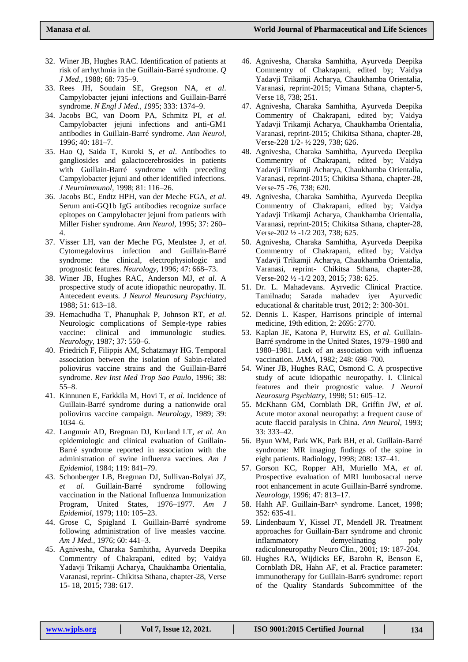- 32. Winer JB, Hughes RAC. Identification of patients at risk of arrhythmia in the Guillain-Barré syndrome. *Q J Med.,* 1988; 68: 735–9.
- 33. Rees JH, Soudain SE, Gregson NA, *et al*. Campylobacter jejuni infections and Guillain-Barré syndrome. *N Engl J Med., 1*995; 333: 1374–9.
- 34. Jacobs BC, van Doorn PA, Schmitz PI, *et al*. Campylobacter jejuni infections and anti-GM1 antibodies in Guillain-Barré syndrome. *Ann Neurol,*  1996; 40: 181–7.
- 35. Hao Q, Saida T, Kuroki S, *et al*. Antibodies to gangliosides and galactocerebrosides in patients with Guillain-Barré syndrome with preceding Campylobacter jejuni and other identified infections. *J Neuroimmunol,* 1998; 81: 116–26.
- 36. Jacobs BC, Endtz HPH, van der Meche FGA, *et al*. Serum anti-GQ1b IgG antibodies recognize surface epitopes on Campylobacter jejuni from patients with Miller Fisher syndrome. *Ann Neurol,* 1995; 37: 260– 4.
- 37. Visser LH, van der Meche FG, Meulstee J, *et al*. Cytomegalovirus infection and Guillain-Barré syndrome: the clinical, electrophysiologic and prognostic features. *Neurology,* 1996; 47: 668–73.
- 38. Winer JB, Hughes RAC, Anderson MJ, *et al*. A prospective study of acute idiopathic neuropathy. II. Antecedent events. *J Neurol Neurosurg Psychiatry,*  1988; 51: 613–18.
- 39. Hemachudha T, Phanuphak P, Johnson RT, *et al*. Neurologic complications of Semple-type rabies vaccine: clinical and immunologic studies. *Neurology,* 1987; 37: 550–6.
- 40. Friedrich F, Filippis AM, Schatzmayr HG. Temporal association between the isolation of Sabin-related poliovirus vaccine strains and the Guillain-Barré syndrome. *Rev Inst Med Trop Sao Paulo,* 1996; 38: 55–8.
- 41. Kinnunen E, Farkkila M, Hovi T, *et al*. Incidence of Guillain-Barré syndrome during a nationwide oral poliovirus vaccine campaign. *Neurology,* 1989; 39: 1034–6.
- 42. Langmuir AD, Bregman DJ, Kurland LT, *et al*. An epidemiologic and clinical evaluation of Guillain-Barré syndrome reported in association with the administration of swine influenza vaccines. *Am J Epidemiol,* 1984; 119: 841–79.
- 43. Schonberger LB, Bregman DJ, Sullivan-Bolyai JZ, *et al*. Guillain-Barré syndrome following vaccination in the National Influenza Immunization Program, United States, 1976–1977. *Am J Epidemiol,* 1979; 110: 105–23.
- 44. Grose C, Spigland I. Guillain-Barré syndrome following administration of live measles vaccine. *Am J Med.,* 1976; 60: 441–3.
- 45. Agnivesha, Charaka Samhitha, Ayurveda Deepika Commentry of Chakrapani, edited by; Vaidya Yadavji Trikamji Acharya, Chaukhamba Orientalia, Varanasi, reprint- Chikitsa Sthana, chapter-28, Verse 15- 18, 2015; 738: 617.
- 46. Agnivesha, Charaka Samhitha, Ayurveda Deepika Commentry of Chakrapani, edited by; Vaidya Yadavji Trikamji Acharya, Chaukhamba Orientalia, Varanasi, reprint-2015; Vimana Sthana, chapter-5, Verse 18, 738; 251.
- 47. Agnivesha, Charaka Samhitha, Ayurveda Deepika Commentry of Chakrapani, edited by; Vaidya Yadavji Trikamji Acharya, Chaukhamba Orientalia, Varanasi, reprint-2015; Chikitsa Sthana, chapter-28, Verse-228 1/2- ½ 229, 738; 626.
- 48. Agnivesha, Charaka Samhitha, Ayurveda Deepika Commentry of Chakrapani, edited by; Vaidya Yadavji Trikamji Acharya, Chaukhamba Orientalia, Varanasi, reprint-2015; Chikitsa Sthana, chapter-28, Verse-75 -76, 738; 620.
- 49. Agnivesha, Charaka Samhitha, Ayurveda Deepika Commentry of Chakrapani, edited by; Vaidya Yadavji Trikamji Acharya, Chaukhamba Orientalia, Varanasi, reprint-2015; Chikitsa Sthana, chapter-28, Verse-202 ½ -1/2 203, 738; 625.
- 50. Agnivesha, Charaka Samhitha, Ayurveda Deepika Commentry of Chakrapani, edited by; Vaidya Yadavji Trikamji Acharya, Chaukhamba Orientalia, Varanasi, reprint- Chikitsa Sthana, chapter-28, Verse-202 ½ -1/2 203, 2015; 738: 625.
- 51. Dr. L. Mahadevans. Ayrvedic Clinical Practice. Tamilnadu; Sarada mahadev iyer Ayurvedic educational & charitable trust, 2012; 2: 300-301.
- 52. Dennis L. Kasper, Harrisons principle of internal medicine, 19th edition, 2: 2695: 2770.
- 53. Kaplan JE, Katona P, Hurwitz ES, *et al*. Guillain-Barré syndrome in the United States, 1979–1980 and 1980–1981. Lack of an association with influenza vaccination. *JAMA,* 1982; 248: 698–700.
- 54. Winer JB, Hughes RAC, Osmond C. A prospective study of acute idiopathic neuropathy. I. Clinical features and their prognostic value. *J Neurol Neurosurg Psychiatry,* 1998; 51: 605–12.
- 55. McKhann GM, Cornblath DR, Griffin JW, *et al*. Acute motor axonal neuropathy: a frequent cause of acute flaccid paralysis in China. *Ann Neurol,* 1993; 33: 333–42.
- 56. Byun WM, Park WK, Park BH, et al. Guillain-Barré syndrome: MR imaging findings of the spine in eight patients. Radiology, 1998; 208: 137–41.
- 57. Gorson KC, Ropper AH, Muriello MA, *et al*. Prospective evaluation of MRI lumbosacral nerve root enhancement in acute Guillain-Barré syndrome. *Neurology,* 1996; 47: 813–17.
- 58. Hahh AF. Guillain-Barr^ syndrome. Lancet, 1998; 352: 635-41.
- 59. Lindenbaum Y, Kissel JT, Mendell JR. Treatment approaches for Guillain-Barr syndrome and chronic inflammatory demyelinating poly radiculoneuropathy Neuro Clin., 2001; 19: 187-204.
- 60. Hughes RA, Wijdicks EF, Barohn R, Benson E, Cornblath DR, Hahn AF, et al. Practice parameter: immunotherapy for Guillain-Barr6 syndrome: report of the Quality Standards Subcommittee of the